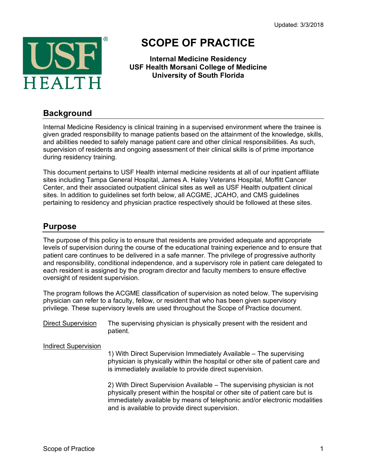Updated: 3/3/2018



# **SCOPE OF PRACTICE**

**Internal Medicine Residency USF Health Morsani College of Medicine University of South Florida**

#### **Background**

Internal Medicine Residency is clinical training in a supervised environment where the trainee is given graded responsibility to manage patients based on the attainment of the knowledge, skills, and abilities needed to safely manage patient care and other clinical responsibilities. As such, supervision of residents and ongoing assessment of their clinical skills is of prime importance during residency training.

This document pertains to USF Health internal medicine residents at all of our inpatient affiliate sites including Tampa General Hospital, James A. Haley Veterans Hospital, Moffitt Cancer Center, and their associated outpatient clinical sites as well as USF Health outpatient clinical sites. In addition to guidelines set forth below, all ACGME, JCAHO, and CMS guidelines pertaining to residency and physician practice respectively should be followed at these sites.

#### **Purpose**

The purpose of this policy is to ensure that residents are provided adequate and appropriate levels of supervision during the course of the educational training experience and to ensure that patient care continues to be delivered in a safe manner. The privilege of progressive authority and responsibility, conditional independence, and a supervisory role in patient care delegated to each resident is assigned by the program director and faculty members to ensure effective oversight of resident supervision.

The program follows the ACGME classification of supervision as noted below. The supervising physician can refer to a faculty, fellow, or resident that who has been given supervisory privilege. These supervisory levels are used throughout the Scope of Practice document.

Direct Supervision The supervising physician is physically present with the resident and patient.

Indirect Supervision

1) With Direct Supervision Immediately Available – The supervising physician is physically within the hospital or other site of patient care and is immediately available to provide direct supervision.

2) With Direct Supervision Available – The supervising physician is not physically present within the hospital or other site of patient care but is immediately available by means of telephonic and/or electronic modalities and is available to provide direct supervision.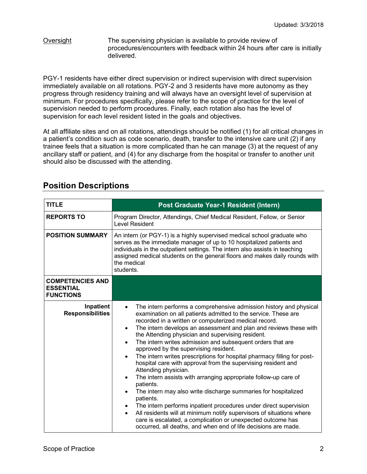#### Oversight The supervising physician is available to provide review of procedures/encounters with feedback within 24 hours after care is initially delivered.

PGY-1 residents have either direct supervision or indirect supervision with direct supervision immediately available on all rotations. PGY-2 and 3 residents have more autonomy as they progress through residency training and will always have an oversight level of supervision at minimum. For procedures specifically, please refer to the scope of practice for the level of supervision needed to perform procedures. Finally, each rotation also has the level of supervision for each level resident listed in the goals and objectives.

At all affiliate sites and on all rotations, attendings should be notified (1) for all critical changes in a patient's condition such as code scenario, death, transfer to the intensive care unit (2) if any trainee feels that a situation is more complicated than he can manage (3) at the request of any ancillary staff or patient, and (4) for any discharge from the hospital or transfer to another unit should also be discussed with the attending.

| <b>TITLE</b>                                                    |                                                                                                                                                                                                                                                                                                                                                                                                                                                                                                                                                                                                                                                                                                                                                                                                                                                                                                                                                                                                                                                                                                                                            |  |  |  |  |  |
|-----------------------------------------------------------------|--------------------------------------------------------------------------------------------------------------------------------------------------------------------------------------------------------------------------------------------------------------------------------------------------------------------------------------------------------------------------------------------------------------------------------------------------------------------------------------------------------------------------------------------------------------------------------------------------------------------------------------------------------------------------------------------------------------------------------------------------------------------------------------------------------------------------------------------------------------------------------------------------------------------------------------------------------------------------------------------------------------------------------------------------------------------------------------------------------------------------------------------|--|--|--|--|--|
|                                                                 | Post Graduate Year-1 Resident (Intern)                                                                                                                                                                                                                                                                                                                                                                                                                                                                                                                                                                                                                                                                                                                                                                                                                                                                                                                                                                                                                                                                                                     |  |  |  |  |  |
| <b>REPORTS TO</b>                                               | Program Director, Attendings, Chief Medical Resident, Fellow, or Senior<br><b>Level Resident</b>                                                                                                                                                                                                                                                                                                                                                                                                                                                                                                                                                                                                                                                                                                                                                                                                                                                                                                                                                                                                                                           |  |  |  |  |  |
| <b>POSITION SUMMARY</b>                                         | An intern (or PGY-1) is a highly supervised medical school graduate who<br>serves as the immediate manager of up to 10 hospitalized patients and<br>individuals in the outpatient settings. The intern also assists in teaching<br>assigned medical students on the general floors and makes daily rounds with<br>the medical<br>students.                                                                                                                                                                                                                                                                                                                                                                                                                                                                                                                                                                                                                                                                                                                                                                                                 |  |  |  |  |  |
| <b>COMPETENCIES AND</b><br><b>ESSENTIAL</b><br><b>FUNCTIONS</b> |                                                                                                                                                                                                                                                                                                                                                                                                                                                                                                                                                                                                                                                                                                                                                                                                                                                                                                                                                                                                                                                                                                                                            |  |  |  |  |  |
| Inpatient<br><b>Responsibilities</b>                            | The intern performs a comprehensive admission history and physical<br>$\bullet$<br>examination on all patients admitted to the service. These are<br>recorded in a written or computerized medical record.<br>The intern develops an assessment and plan and reviews these with<br>$\bullet$<br>the Attending physician and supervising resident.<br>The intern writes admission and subsequent orders that are<br>$\bullet$<br>approved by the supervising resident.<br>The intern writes prescriptions for hospital pharmacy filling for post-<br>$\bullet$<br>hospital care with approval from the supervising resident and<br>Attending physician.<br>The intern assists with arranging appropriate follow-up care of<br>$\bullet$<br>patients.<br>The intern may also write discharge summaries for hospitalized<br>$\bullet$<br>patients.<br>The intern performs inpatient procedures under direct supervision<br>All residents will at minimum notify supervisors of situations where<br>$\bullet$<br>care is escalated, a complication or unexpected outcome has<br>occurred, all deaths, and when end of life decisions are made. |  |  |  |  |  |

#### **Position Descriptions**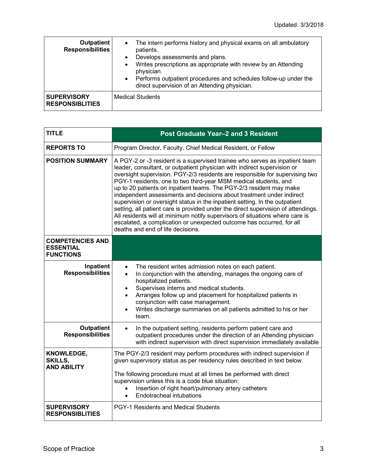| <b>Outpatient</b><br><b>Responsibilities</b> | The intern performs history and physical exams on all ambulatory<br>$\bullet$<br>patients.<br>Develops assessments and plans.<br>$\bullet$<br>Writes prescriptions as appropriate with review by an Attending<br>$\bullet$<br>physician.<br>Performs outpatient procedures and schedules follow-up under the<br>$\bullet$<br>direct supervision of an Attending physician. |
|----------------------------------------------|----------------------------------------------------------------------------------------------------------------------------------------------------------------------------------------------------------------------------------------------------------------------------------------------------------------------------------------------------------------------------|
| <b>SUPERVISORY</b><br><b>RESPONSIBLITIES</b> | <b>Medical Students</b>                                                                                                                                                                                                                                                                                                                                                    |

| <b>TITLE</b>                                                    | <b>Post Graduate Year-2 and 3 Resident</b>                                                                                                                                                                                                                                                                                                                                                                                                                                                                                                                                                                                                                                                                                                                                                                                   |  |  |  |  |
|-----------------------------------------------------------------|------------------------------------------------------------------------------------------------------------------------------------------------------------------------------------------------------------------------------------------------------------------------------------------------------------------------------------------------------------------------------------------------------------------------------------------------------------------------------------------------------------------------------------------------------------------------------------------------------------------------------------------------------------------------------------------------------------------------------------------------------------------------------------------------------------------------------|--|--|--|--|
| <b>REPORTS TO</b>                                               | Program Director, Faculty, Chief Medical Resident, or Fellow                                                                                                                                                                                                                                                                                                                                                                                                                                                                                                                                                                                                                                                                                                                                                                 |  |  |  |  |
| <b>POSITION SUMMARY</b>                                         | A PGY-2 or -3 resident is a supervised trainee who serves as inpatient team<br>leader, consultant, or outpatient physician with indirect supervision or<br>oversight supervision. PGY-2/3 residents are responsible for supervising two<br>PGY-1 residents, one to two third-year MSM medical students, and<br>up to 20 patients on inpatient teams. The PGY-2/3 resident may make<br>independent assessments and decisions about treatment under indirect<br>supervision or oversight status in the inpatient setting. In the outpatient<br>setting, all patient care is provided under the direct supervision of attendings.<br>All residents will at minimum notify supervisors of situations where care is<br>escalated, a complication or unexpected outcome has occurred, for all<br>deaths and end of life decisions. |  |  |  |  |
| <b>COMPETENCIES AND</b><br><b>ESSENTIAL</b><br><b>FUNCTIONS</b> |                                                                                                                                                                                                                                                                                                                                                                                                                                                                                                                                                                                                                                                                                                                                                                                                                              |  |  |  |  |
| Inpatient<br><b>Responsibilities</b>                            | The resident writes admission notes on each patient.<br>$\bullet$<br>In conjunction with the attending, manages the ongoing care of<br>$\bullet$<br>hospitalized patients.<br>Supervises interns and medical students.<br>$\bullet$<br>Arranges follow up and placement for hospitalized patients in<br>conjunction with case management.<br>Writes discharge summaries on all patients admitted to his or her<br>team.                                                                                                                                                                                                                                                                                                                                                                                                      |  |  |  |  |
| <b>Outpatient</b><br><b>Responsibilities</b>                    | In the outpatient setting, residents perform patient care and<br>outpatient procedures under the direction of an Attending physician<br>with indirect supervision with direct supervision immediately available                                                                                                                                                                                                                                                                                                                                                                                                                                                                                                                                                                                                              |  |  |  |  |
| KNOWLEDGE,<br><b>SKILLS,</b><br><b>AND ABILITY</b>              | The PGY-2/3 resident may perform procedures with indirect supervision if<br>given supervisory status as per residency rules described in text below.<br>The following procedure must at all times be performed with direct<br>supervision unless this is a code blue situation:<br>Insertion of right heart/pulmonary artery catheters<br>Endotracheal intubations<br>$\bullet$                                                                                                                                                                                                                                                                                                                                                                                                                                              |  |  |  |  |
| <b>SUPERVISORY</b><br><b>RESPONSIBLITIES</b>                    | PGY-1 Residents and Medical Students                                                                                                                                                                                                                                                                                                                                                                                                                                                                                                                                                                                                                                                                                                                                                                                         |  |  |  |  |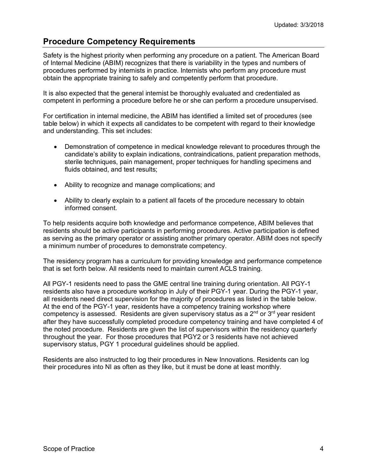### **Procedure Competency Requirements**

Safety is the highest priority when performing any procedure on a patient. The American Board of Internal Medicine (ABIM) recognizes that there is variability in the types and numbers of procedures performed by internists in practice. Internists who perform any procedure must obtain the appropriate training to safely and competently perform that procedure.

It is also expected that the general internist be thoroughly evaluated and credentialed as competent in performing a procedure before he or she can perform a procedure unsupervised.

For certification in internal medicine, the ABIM has identified a limited set of procedures (see table below) in which it expects all candidates to be competent with regard to their knowledge and understanding. This set includes:

- Demonstration of competence in medical knowledge relevant to procedures through the candidate's ability to explain indications, contraindications, patient preparation methods, sterile techniques, pain management, proper techniques for handling specimens and fluids obtained, and test results;
- Ability to recognize and manage complications; and
- Ability to clearly explain to a patient all facets of the procedure necessary to obtain informed consent.

To help residents acquire both knowledge and performance competence, ABIM believes that residents should be active participants in performing procedures. Active participation is defined as serving as the primary operator or assisting another primary operator. ABIM does not specify a minimum number of procedures to demonstrate competency.

The residency program has a curriculum for providing knowledge and performance competence that is set forth below. All residents need to maintain current ACLS training.

All PGY-1 residents need to pass the GME central line training during orientation. All PGY-1 residents also have a procedure workshop in July of their PGY-1 year. During the PGY-1 year, all residents need direct supervision for the majority of procedures as listed in the table below. At the end of the PGY-1 year, residents have a competency training workshop where competency is assessed. Residents are given supervisory status as a  $2<sup>nd</sup>$  or  $3<sup>rd</sup>$  year resident after they have successfully completed procedure competency training and have completed 4 of the noted procedure. Residents are given the list of supervisors within the residency quarterly throughout the year. For those procedures that PGY2 or 3 residents have not achieved supervisory status, PGY 1 procedural guidelines should be applied.

Residents are also instructed to log their procedures in New Innovations. Residents can log their procedures into NI as often as they like, but it must be done at least monthly.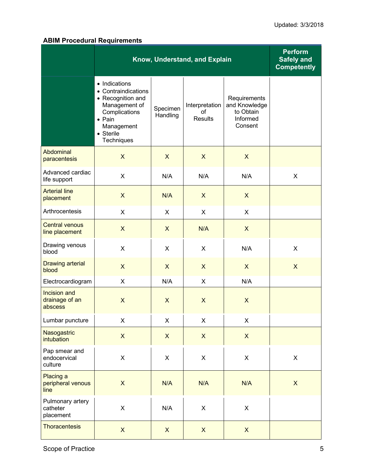#### **ABIM Procedural Requirements**

|                                           | Know, Understand, and Explain                                                                                                                          | <b>Perform</b><br><b>Safely and</b><br><b>Competently</b> |                                        |                                                                   |                |  |
|-------------------------------------------|--------------------------------------------------------------------------------------------------------------------------------------------------------|-----------------------------------------------------------|----------------------------------------|-------------------------------------------------------------------|----------------|--|
|                                           | • Indications<br>• Contraindications<br>• Recognition and<br>Management of<br>Complications<br>$\bullet$ Pain<br>Management<br>• Sterile<br>Techniques | Specimen<br>Handling                                      | Interpretation<br>of<br><b>Results</b> | Requirements<br>and Knowledge<br>to Obtain<br>Informed<br>Consent |                |  |
| Abdominal<br>paracentesis                 | $\mathsf{X}$                                                                                                                                           | $\mathsf{X}$                                              | $\mathsf{X}$                           | $\mathsf{X}$                                                      |                |  |
| Advanced cardiac<br>life support          | X                                                                                                                                                      | N/A                                                       | N/A<br>N/A                             |                                                                   | X              |  |
| <b>Arterial line</b><br>placement         | $\mathsf{X}$                                                                                                                                           | N/A                                                       | $\mathsf{X}$                           | $\mathsf{X}$                                                      |                |  |
| Arthrocentesis                            | X                                                                                                                                                      | X                                                         | X                                      | X                                                                 |                |  |
| <b>Central venous</b><br>line placement   | $\mathsf{X}$                                                                                                                                           | $\mathsf{X}$                                              | N/A                                    | $\mathsf{X}$                                                      |                |  |
| Drawing venous<br>blood                   | X                                                                                                                                                      | X                                                         | X                                      | N/A                                                               | X              |  |
| <b>Drawing arterial</b><br>blood          | $\mathsf{X}$                                                                                                                                           | $\mathsf{X}$                                              | $\mathsf{X}$                           | $\mathsf{X}$                                                      | $\mathsf{X}$   |  |
| Electrocardiogram                         | X                                                                                                                                                      | N/A                                                       | X                                      | N/A                                                               |                |  |
| Incision and<br>drainage of an<br>abscess | $\mathsf{X}$                                                                                                                                           | $\mathsf{X}$                                              | $\boldsymbol{\mathsf{X}}$              | $\boldsymbol{\mathsf{X}}$                                         |                |  |
| Lumbar puncture                           | X                                                                                                                                                      | X                                                         | X<br>X                                 |                                                                   |                |  |
| Nasogastric<br>intubation                 | $\mathsf{X}$                                                                                                                                           | $\boldsymbol{\mathsf{X}}$                                 | $\boldsymbol{\mathsf{X}}$              | $\boldsymbol{\mathsf{X}}$                                         |                |  |
| Pap smear and<br>endocervical<br>culture  | X                                                                                                                                                      | X                                                         | X                                      | X                                                                 | $\mathsf X$    |  |
| Placing a<br>peripheral venous<br>line    | $\mathsf X$                                                                                                                                            | N/A                                                       | N/A<br>N/A                             |                                                                   | $\pmb{\times}$ |  |
| Pulmonary artery<br>catheter<br>placement | X                                                                                                                                                      | N/A                                                       | X                                      | $\mathsf X$                                                       |                |  |
| Thoracentesis                             | $\mathsf{X}$                                                                                                                                           | $\mathsf{X}$                                              | $\mathsf{X}$                           | $\mathsf{X}$                                                      |                |  |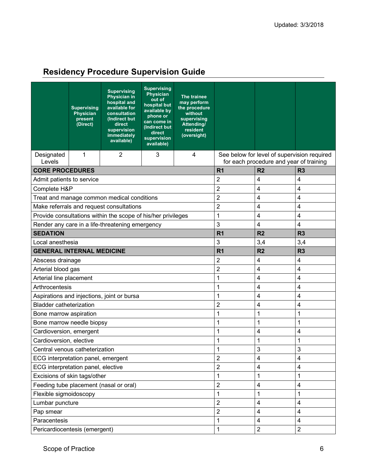## **Residency Procedure Supervision Guide**

|                                            | <b>Supervising</b><br><b>Physician</b><br>present<br>(Direct) | <b>Supervising</b><br><b>Physician in</b><br>hospital and<br>available for<br>consultation<br>(Indirect but<br>direct<br>supervision<br><i>immediately</i><br>available) | <b>Supervising</b><br><b>Physician</b><br>out of<br>hospital but<br>available by<br>phone or<br>can come in<br>(Indirect but<br>direct<br>supervision<br>available) | The trainee<br>may perform<br>the procedure<br>without<br>supervising<br>Attending/<br>resident<br>(oversight) |                         |                                                                                        |                |
|--------------------------------------------|---------------------------------------------------------------|--------------------------------------------------------------------------------------------------------------------------------------------------------------------------|---------------------------------------------------------------------------------------------------------------------------------------------------------------------|----------------------------------------------------------------------------------------------------------------|-------------------------|----------------------------------------------------------------------------------------|----------------|
| Designated<br>Levels                       | 1                                                             | $\overline{2}$                                                                                                                                                           | 3                                                                                                                                                                   | 4                                                                                                              |                         | See below for level of supervision required<br>for each procedure and year of training |                |
| <b>CORE PROCEDURES</b>                     |                                                               |                                                                                                                                                                          |                                                                                                                                                                     |                                                                                                                | R <sub>1</sub>          | R <sub>2</sub>                                                                         | R <sub>3</sub> |
| Admit patients to service                  |                                                               |                                                                                                                                                                          |                                                                                                                                                                     |                                                                                                                | $\overline{2}$          | 4                                                                                      | 4              |
| Complete H&P                               |                                                               |                                                                                                                                                                          |                                                                                                                                                                     |                                                                                                                | $\overline{2}$          | 4                                                                                      | 4              |
|                                            |                                                               | Treat and manage common medical conditions                                                                                                                               |                                                                                                                                                                     |                                                                                                                | $\overline{c}$          | $\overline{\mathbf{4}}$                                                                | 4              |
|                                            |                                                               | Make referrals and request consultations                                                                                                                                 |                                                                                                                                                                     |                                                                                                                | $\overline{2}$          | 4                                                                                      | 4              |
|                                            |                                                               | Provide consultations within the scope of his/her privileges                                                                                                             |                                                                                                                                                                     |                                                                                                                | 1                       | $\overline{\mathbf{4}}$                                                                | 4              |
|                                            |                                                               | Render any care in a life-threatening emergency                                                                                                                          |                                                                                                                                                                     |                                                                                                                | 3                       | $\overline{4}$                                                                         | 4              |
| <b>SEDATION</b>                            |                                                               |                                                                                                                                                                          |                                                                                                                                                                     | R <sub>1</sub>                                                                                                 | R <sub>2</sub>          | R <sub>3</sub>                                                                         |                |
| Local anesthesia                           |                                                               |                                                                                                                                                                          |                                                                                                                                                                     | 3                                                                                                              | 3,4                     | 3,4                                                                                    |                |
| <b>GENERAL INTERNAL MEDICINE</b>           |                                                               |                                                                                                                                                                          |                                                                                                                                                                     | R <sub>1</sub>                                                                                                 | R <sub>2</sub>          | R <sub>3</sub>                                                                         |                |
| Abscess drainage                           |                                                               |                                                                                                                                                                          |                                                                                                                                                                     | $\overline{2}$                                                                                                 | 4                       | 4                                                                                      |                |
| Arterial blood gas                         |                                                               |                                                                                                                                                                          |                                                                                                                                                                     | $\overline{2}$                                                                                                 | $\overline{\mathbf{4}}$ | 4                                                                                      |                |
| Arterial line placement                    |                                                               |                                                                                                                                                                          |                                                                                                                                                                     | 1                                                                                                              | 4                       | 4                                                                                      |                |
| Arthrocentesis                             |                                                               |                                                                                                                                                                          |                                                                                                                                                                     | 1                                                                                                              | 4                       | 4                                                                                      |                |
| Aspirations and injections, joint or bursa |                                                               |                                                                                                                                                                          |                                                                                                                                                                     | 1                                                                                                              | 4                       | 4                                                                                      |                |
| <b>Bladder catheterization</b>             |                                                               |                                                                                                                                                                          |                                                                                                                                                                     | $\overline{2}$                                                                                                 | 4                       | 4                                                                                      |                |
| Bone marrow aspiration                     |                                                               |                                                                                                                                                                          |                                                                                                                                                                     |                                                                                                                | 1                       | 1                                                                                      | 1              |
| Bone marrow needle biopsy                  |                                                               |                                                                                                                                                                          |                                                                                                                                                                     |                                                                                                                | 1                       | 1                                                                                      | 1              |
| Cardioversion, emergent                    |                                                               |                                                                                                                                                                          |                                                                                                                                                                     | 1                                                                                                              | 4                       | 4                                                                                      |                |
| Cardioversion, elective                    |                                                               |                                                                                                                                                                          |                                                                                                                                                                     |                                                                                                                | 1                       | 1                                                                                      | 1              |
| Central venous catheterization             |                                                               |                                                                                                                                                                          |                                                                                                                                                                     |                                                                                                                | 1                       | 3                                                                                      | κ              |
| ECG interpretation panel, emergent         |                                                               |                                                                                                                                                                          |                                                                                                                                                                     |                                                                                                                | $\overline{2}$          | $\overline{\mathbf{4}}$                                                                | 4              |
| ECG interpretation panel, elective         |                                                               |                                                                                                                                                                          |                                                                                                                                                                     | $\overline{2}$                                                                                                 | $\overline{\mathbf{4}}$ | 4                                                                                      |                |
| Excisions of skin tags/other               |                                                               |                                                                                                                                                                          |                                                                                                                                                                     | 1                                                                                                              | $\mathbf 1$             | $\mathbf 1$                                                                            |                |
| Feeding tube placement (nasal or oral)     |                                                               |                                                                                                                                                                          |                                                                                                                                                                     | $\overline{c}$                                                                                                 | $\overline{\mathbf{4}}$ | 4                                                                                      |                |
| Flexible sigmoidoscopy                     |                                                               |                                                                                                                                                                          |                                                                                                                                                                     | 1                                                                                                              | 1                       | 1                                                                                      |                |
| Lumbar puncture                            |                                                               |                                                                                                                                                                          |                                                                                                                                                                     | $\overline{2}$                                                                                                 | 4                       | 4                                                                                      |                |
| Pap smear                                  |                                                               |                                                                                                                                                                          |                                                                                                                                                                     | $\overline{2}$                                                                                                 | $\overline{\mathbf{4}}$ | 4                                                                                      |                |
| Paracentesis                               |                                                               |                                                                                                                                                                          |                                                                                                                                                                     | 1                                                                                                              | 4                       | 4                                                                                      |                |
| Pericardiocentesis (emergent)              |                                                               |                                                                                                                                                                          |                                                                                                                                                                     |                                                                                                                | 1                       | $\sqrt{2}$                                                                             | $\overline{2}$ |